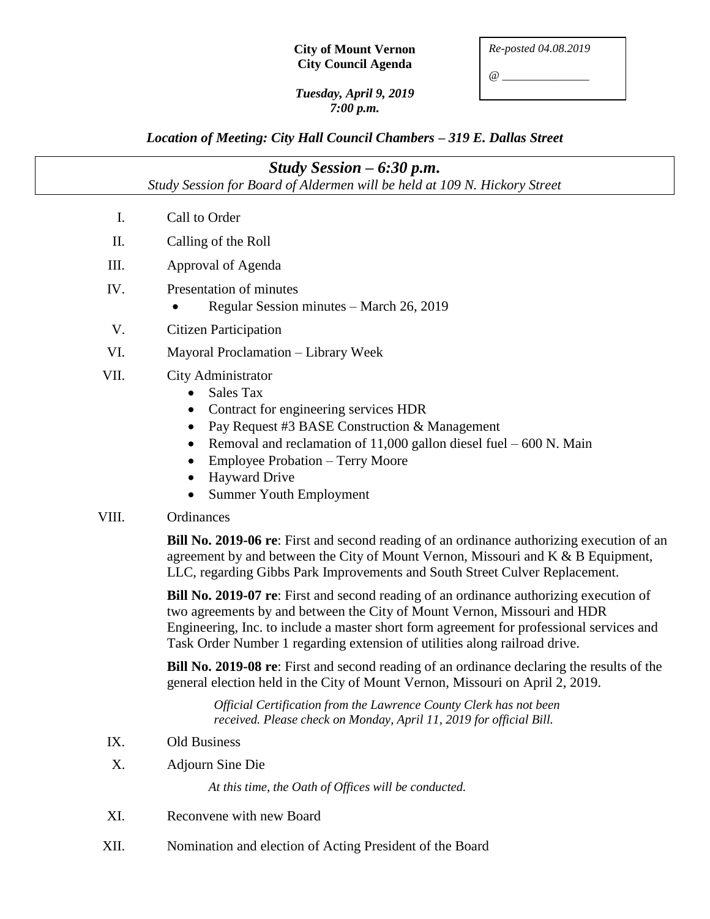| <b>City of Mount Vernon</b> |
|-----------------------------|
| <b>City Council Agenda</b>  |

*@ \_\_\_\_\_\_\_\_\_\_\_\_\_\_\_*

#### *Tuesday, April 9, 2019 7:00 p.m.*

# *Location of Meeting: City Hall Council Chambers – 319 E. Dallas Street*

| Study Session $-6:30$ p.m.                                                |                                                                                                                                                                                                                                                                                                                                                                                                           |  |
|---------------------------------------------------------------------------|-----------------------------------------------------------------------------------------------------------------------------------------------------------------------------------------------------------------------------------------------------------------------------------------------------------------------------------------------------------------------------------------------------------|--|
| Study Session for Board of Aldermen will be held at 109 N. Hickory Street |                                                                                                                                                                                                                                                                                                                                                                                                           |  |
| Ι.                                                                        | Call to Order                                                                                                                                                                                                                                                                                                                                                                                             |  |
| II.                                                                       | Calling of the Roll                                                                                                                                                                                                                                                                                                                                                                                       |  |
| III.                                                                      | Approval of Agenda                                                                                                                                                                                                                                                                                                                                                                                        |  |
| IV.                                                                       | Presentation of minutes<br>Regular Session minutes - March 26, 2019                                                                                                                                                                                                                                                                                                                                       |  |
| V.                                                                        | <b>Citizen Participation</b>                                                                                                                                                                                                                                                                                                                                                                              |  |
| VI.                                                                       | Mayoral Proclamation - Library Week                                                                                                                                                                                                                                                                                                                                                                       |  |
| VII.                                                                      | City Administrator<br><b>Sales Tax</b><br>$\bullet$<br>Contract for engineering services HDR<br>$\bullet$<br>Pay Request #3 BASE Construction & Management<br>$\bullet$<br>Removal and reclamation of $11,000$ gallon diesel fuel $-600$ N. Main<br>$\bullet$<br><b>Employee Probation – Terry Moore</b><br>$\bullet$<br><b>Hayward Drive</b><br>$\bullet$<br><b>Summer Youth Employment</b><br>$\bullet$ |  |
| VIII.                                                                     | Ordinances                                                                                                                                                                                                                                                                                                                                                                                                |  |
|                                                                           | <b>Bill No. 2019-06 re:</b> First and second reading of an ordinance authorizing execution of an<br>agreement by and between the City of Mount Vernon, Missouri and K & B Equipment,<br>LLC, regarding Gibbs Park Improvements and South Street Culver Replacement.                                                                                                                                       |  |
|                                                                           | Bill No. 2019-07 re: First and second reading of an ordinance authorizing execution of<br>two agreements by and between the City of Mount Vernon, Missouri and HDR<br>Engineering, Inc. to include a master short form agreement for professional services and<br>Task Order Number 1 regarding extension of utilities along railroad drive.                                                              |  |
|                                                                           | <b>Bill No. 2019-08 re:</b> First and second reading of an ordinance declaring the results of the<br>general election held in the City of Mount Vernon, Missouri on April 2, 2019.                                                                                                                                                                                                                        |  |
|                                                                           | Official Certification from the Lawrence County Clerk has not been<br>received. Please check on Monday, April 11, 2019 for official Bill.                                                                                                                                                                                                                                                                 |  |
| IX.                                                                       | Old Business                                                                                                                                                                                                                                                                                                                                                                                              |  |
| X.                                                                        | <b>Adjourn Sine Die</b>                                                                                                                                                                                                                                                                                                                                                                                   |  |
|                                                                           | At this time, the Oath of Offices will be conducted.                                                                                                                                                                                                                                                                                                                                                      |  |
| XI.                                                                       | Reconvene with new Board                                                                                                                                                                                                                                                                                                                                                                                  |  |
| XII.                                                                      | Nomination and election of Acting President of the Board                                                                                                                                                                                                                                                                                                                                                  |  |